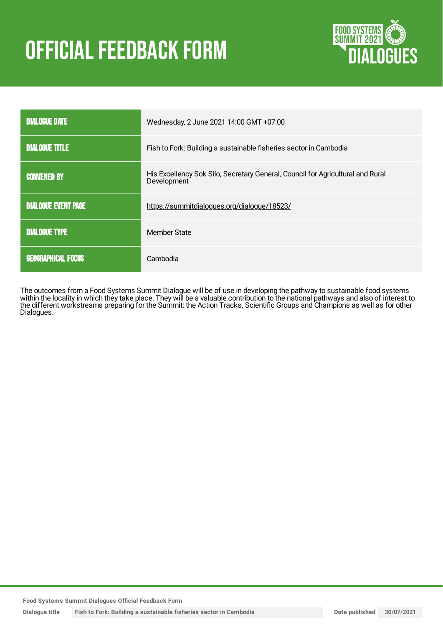# **OFFICIAL FEEDBACK FORM**



| <b>DIALOGUE DATE</b>       | Wednesday, 2 June 2021 14:00 GMT +07:00                                                       |
|----------------------------|-----------------------------------------------------------------------------------------------|
| <b>DIALOGUE TITLE</b>      | Fish to Fork: Building a sustainable fisheries sector in Cambodia                             |
| <b>CONVENED BY</b>         | His Excellency Sok Silo, Secretary General, Council for Agricultural and Rural<br>Development |
| <b>DIALOGUE EVENT PAGE</b> | https://summitdialogues.org/dialogue/18523/                                                   |
| <b>DIALOGUE TYPE</b>       | <b>Member State</b>                                                                           |
| <b>GEOGRAPHICAL FOCUS</b>  | Cambodia                                                                                      |

The outcomes from a Food Systems Summit Dialogue will be of use in developing the pathway to sustainable food systems within the locality in which they take place. They will be a valuable contribution to the national pathways and also of interest to the different workstreams preparing for the Summit: the Action Tracks, Scientific Groups and Champions as well as for other Dialogues.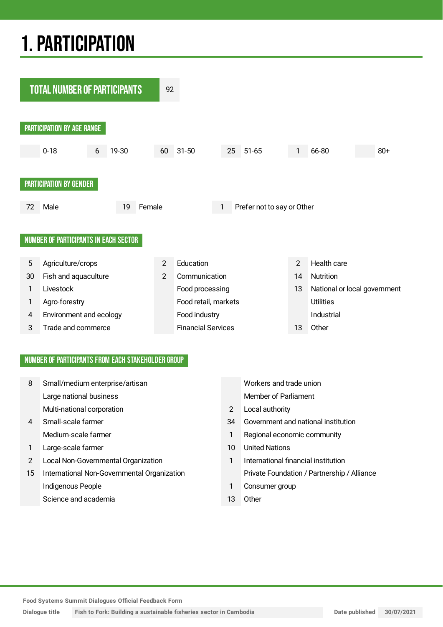## 1.PARTICIPATION



#### NUMBER OF PARTICIPANTS FROM EACH STAKEHOLDER GROUP

|    |                                             |                | Workers and trade union                     |
|----|---------------------------------------------|----------------|---------------------------------------------|
|    | Large national business                     |                | <b>Member of Parliament</b>                 |
|    | Multi-national corporation                  | $\overline{2}$ | Local authority                             |
| 4  | Small-scale farmer                          | 34             | Government and national institution         |
|    | Medium-scale farmer                         | 1              | Regional economic community                 |
|    | Large-scale farmer                          | 10             | <b>United Nations</b>                       |
| 2  | Local Non-Governmental Organization         | 1              | International financial institution         |
| 15 | International Non-Governmental Organization |                | Private Foundation / Partnership / Alliance |
|    | Indigenous People                           | 1              | Consumer group                              |
|    | Science and academia                        | 13             | Other                                       |

**Food Systems Summit Dialogues Official Feedback Form**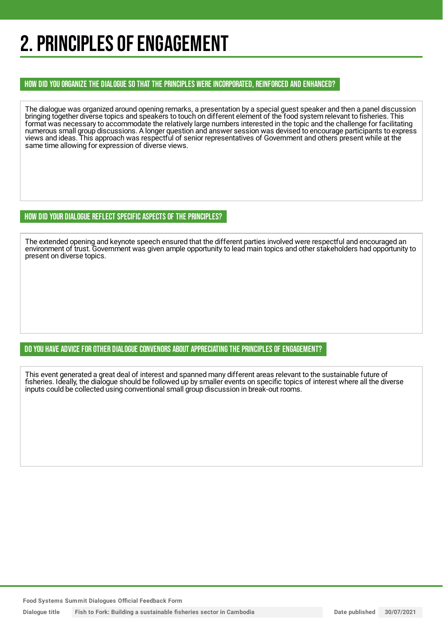## 2. PRINCIPLES OF ENGAGEMENT

#### HOW DID YOU ORGANIZE THE DIALOGUE SO THAT THE PRINCIPLES WERE INCORPORATED, REINFORCED AND ENHANCED?

The dialogue was organized around opening remarks, a presentation by a special guest speaker and then a panel discussion bringing together diverse topics and speakers to touch on different element of the food system relevant to fisheries. This format was necessary to accommodate the relatively large numbers interested in the topic and the challenge for facilitating numerous small group discussions. A longer question and answer session was devised to encourage participants to express views and ideas. This approach was respectful of senior representatives of Government and others present while at the same time allowing for expression of diverse views.

#### HOW DID YOUR DIALOGUE REFLECT SPECIFIC ASPECTS OF THE PRINCIPLES?

The extended opening and keynote speech ensured that the different parties involved were respectful and encouraged an environment of trust. Government was given ample opportunity to lead main topics and other stakeholders had opportunity to present on diverse topics.

#### DO YOU HAVE ADVICE FOR OTHER DIALOGUE CONVENORS ABOUT APPRECIATINGTHE PRINCIPLES OF ENGAGEMENT?

This event generated a great deal of interest and spanned many different areas relevant to the sustainable future of fisheries. Ideally, the dialogue should be followed up by smaller events on specific topics of interest where all the diverse inputs could be collected using conventional small group discussion in break-out rooms.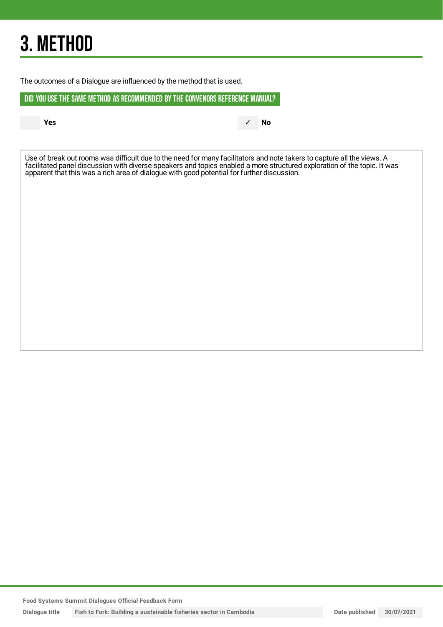## 3. METHOD

The outcomes of a Dialogue are influenced by the method that is used.

DID YOU USE THE SAME METHOD AS RECOMMENDED BYTHE CONVENORS REFERENCE MANUAL?

**Yes** ✓ **No**

Use of break out rooms was difficult due to the need for many facilitators and note takers to capture all the views. A facilitated panel discussion with diverse speakers and topics enabled a more structured exploration of the topic. It was apparent that this was a rich area of dialogue with good potential for further discussion.

**Food Systems Summit Dialogues Official Feedback Form**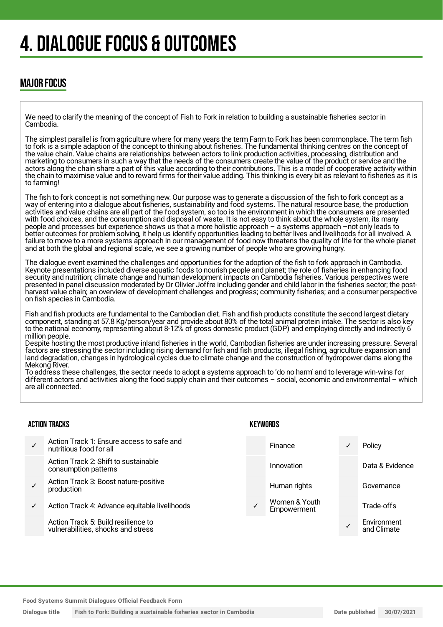## 4. DIALOGUE FOCUS & OUTCOMES

### MAJOR FOCUS

We need to clarify the meaning of the concept of Fish to Fork in relation to building a sustainable fisheries sector in Cambodia.

The simplest parallel is from agriculture where for many years the term Farm to Fork has been commonplace. The term fish to fork is a simple adaption of the concept to thinking about fisheries. The fundamental thinking centres on the concept of the value chain. Value chains are relationships between actors to link production activities, processing, distribution and marketing to consumers in such a way that the needs of the consumers create the value of the product or service and the actors along the chain share a part of this value according to their contributions. This is a model of cooperative activity within the chain to maximise value and to reward firms for their value adding. This thinking is every bit as relevant to fisheries as it is to farming!

The fish to fork concept is not something new. Our purpose was to generate a discussion of the fish to fork concept as a way of entering into a dialogue about fisheries, sustainability and food systems. The natural resource base, the production activities and value chains are all part of the food system, so too is the environment in which the consumers are presented with food choices, and the consumption and disposal of waste. It is not easy to think about the whole system, its many people and processes but experience shows us that a more holistic approach – a systems approach –not only leads to better outcomes for problem solving, it help us identify opportunities leading to better lives and livelihoods for all involved. A failure to move to a more systems approach in our management of food now threatens the quality of life for the whole planet and at both the global and regional scale, we see a growing number of people who are growing hungry.

The dialogue event examined the challenges and opportunities for the adoption of the fish to fork approach in Cambodia. Keynote presentations included diverse aquatic foods to nourish people and planet; the role of fisheries in enhancing food security and nutrition; climate change and human development impacts on Cambodia fisheries. Various perspectives were presented in panel discussion moderated by Dr Olivier Joffre including gender and child labor in the fisheries sector; the postharvest value chain; an overview of development challenges and progress; community fisheries; and a consumer perspective on fish species in Cambodia.

Fish and fish products are fundamental to the Cambodian diet. Fish and fish products constitute the second largest dietary component, standing at 57.8 Kg/person/year and provide about 80% of the total animal protein intake. The sector is also key to the national economy, representing about 8-12% of gross domestic product (GDP) and employing directly and indirectly 6 million people.

Despite hosting the most productive inland fisheries in the world, Cambodian fisheries are under increasing pressure. Several factors are stressing the sector including rising demand for fish and fish products, illegal fishing, agriculture expansion and land degradation, changes in hydrological cycles due to climate change and the construction of hydropower dams along the Mekong River.

To address these challenges, the sector needs to adopt a systems approach to 'do no harm' and to leverage win-wins for different actors and activities along the food supply chain and their outcomes – social, economic and environmental – which are all connected.

#### ACTION TRACKS

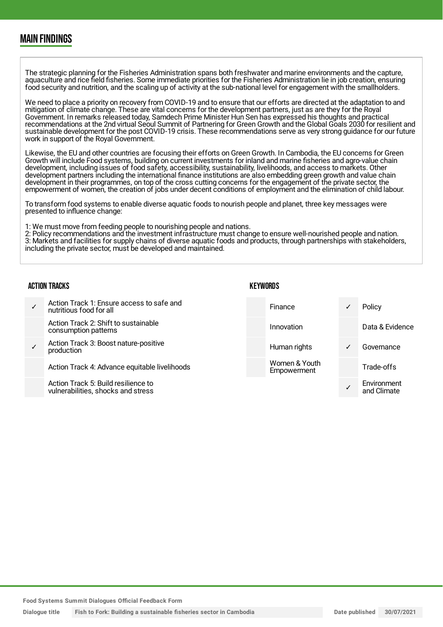### MAIN FINDINGS

The strategic planning for the Fisheries Administration spans both freshwater and marine environments and the capture, aquaculture and rice field fisheries. Some immediate priorities for the Fisheries Administration lie in job creation, ensuring food security and nutrition, and the scaling up of activity at the sub-national level for engagement with the smallholders.

We need to place a priority on recovery from COVID-19 and to ensure that our efforts are directed at the adaptation to and mitigation of climate change. These are vital concerns for the development partners, just as are they for the Royal Government. In remarks released today, Samdech Prime Minister Hun Sen has expressed his thoughts and practical recommendations at the 2nd virtual Seoul Summit of Partnering for Green Growth and the Global Goals 2030 for resilient and sustainable development for the post COVID-19 crisis. These recommendations serve as very strong guidance for our future work in support of the Royal Government.

Likewise, the EU and other countries are focusing their efforts on Green Growth. In Cambodia, the EU concerns for Green Growth will include Food systems, building on current investments for inland and marine fisheries and agro-value chain development, including issues of food safety, accessibility, sustainability, livelihoods, and access to markets. Other development partners including the international finance institutions are also embedding green growth and value chain development in their programmes, on top of the cross cutting concerns for the engagement of the private sector, the empowerment of women, the creation of jobs under decent conditions of employment and the elimination of child labour.

To transform food systems to enable diverse aquatic foods to nourish people and planet, three key messages were presented to influence change:

1: We must move from feeding people to nourishing people and nations.

2: Policy recommendations and the investment infrastructure must change to ensure well-nourished people and nation. 3: Markets and facilities for supply chains of diverse aquatic foods and products, through partnerships with stakeholders, including the private sector, must be developed and maintained.

| <b>ACTION TRACKS</b> |                                                                           | <b>KEYWORDS</b> |                              |   |                            |
|----------------------|---------------------------------------------------------------------------|-----------------|------------------------------|---|----------------------------|
|                      | Action Track 1: Ensure access to safe and<br>nutritious food for all      |                 | Finance                      | ✓ | Policy                     |
|                      | Action Track 2: Shift to sustainable<br>consumption patterns              |                 | Innovation                   |   | Data & Evidence            |
|                      | Action Track 3: Boost nature-positive<br>production                       |                 | Human rights                 | ✓ | Governance                 |
|                      | Action Track 4: Advance equitable livelihoods                             |                 | Women & Youth<br>Empowerment |   | Trade-offs                 |
|                      | Action Track 5: Build resilience to<br>vulnerabilities, shocks and stress |                 |                              |   | Environment<br>and Climate |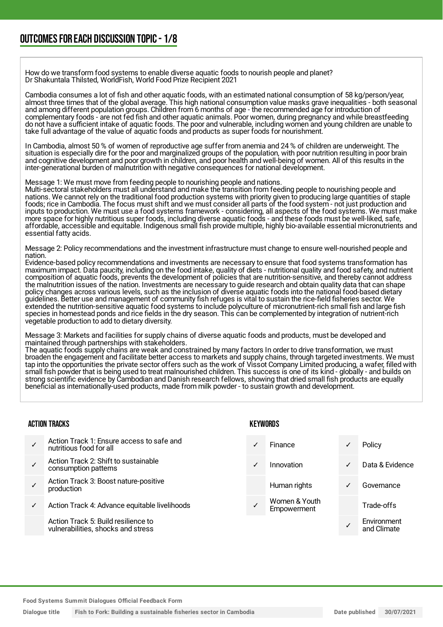How do we transform food systems to enable diverse aquatic foods to nourish people and planet? Dr Shakuntala Thilsted, WorldFish, World Food Prize Recipient 2021

Cambodia consumes a lot of fish and other aquatic foods, with an estimated national consumption of 58 kg/person/year, almost three times that of the global average. This high national consumption value masks grave inequalities - both seasonal and among different population groups. Children from 6 months of age - the recommended age for introduction of complementary foods - are not fed fish and other aquatic animals. Poor women, during pregnancy and while breastfeeding do not have a sufficient intake of aquatic foods. The poor and vulnerable, including women and young children are unable to take full advantage of the value of aquatic foods and products as super foods for nourishment.

In Cambodia, almost 50 % of women of reproductive age suffer from anemia and 24 % of children are underweight. The situation is especially dire for the poor and marginalized groups of the population, with poor nutrition resulting in poor brain and cognitive development and poor growth in children, and poor health and well-being of women. All of this results in the inter-generational burden of malnutrition with negative consequences for national development.

Message 1: We must move from feeding people to nourishing people and nations.

Multi-sectoral stakeholders must all understand and make the transition from feeding people to nourishing people and nations. We cannot rely on the traditional food production systems with priority given to producing large quantities of staple foods; rice in Cambodia. The focus must shift and we must consider all parts of the food system - not just production and inputs to production. We must use a food systems framework - considering, all aspects of the food systems. We must make mpato to production. We must doe a rood systems numework considering, an aspects of the rood systems. We must<br>more space for highly nutritious super foods, including diverse aquatic foods - and these foods must be well-lik affordable, accessible and equitable. Indigenous small fish provide multiple, highly bio-available essential micronutrients and essential fatty acids.

Message 2: Policy recommendations and the investment infrastructure must change to ensure well-nourished people and nation.

Evidence-based policy recommendations and investments are necessary to ensure that food systems transformation has maximum impact. Data paucity, including on the food intake, quality of diets - nutritional quality and food safety, and nutrient composition of aquatic foods, prevents the development of policies that are nutrition-sensitive, and thereby cannot address the malnutrition issues of the nation. Investments are necessary to guide research and obtain quality data that can shape policy changes across various levels, such as the inclusion of diverse aquatic foods into the national food-based dietary guidelines. Better use and management of community fish refuges is vital to sustain the rice-field fisheries sector. We extended the nutrition-sensitive aquatic food systems to include polyculture of micronutrient-rich small fish and large fish species in homestead ponds and rice fields in the dry season. This can be complemented by integration of nutrient-rich vegetable production to add to dietary diversity.

Message 3: Markets and facilities for supply chains of diverse aquatic foods and products, must be developed and maintained through partnerships with stakeholders.

The aquatic foods supply chains are weak and constrained by many factors In order to drive transformation, we must broaden the engagement and facilitate better access to markets and supply chains, through targeted investments. We must tap into the opportunities the private sector offers such as the work of Vissot Company Limited producing, a wafer, filled with small fish powder that is being used to treat malnourished children. This success is one of its kind - globally - and builds on strong scientific evidence by Cambodian and Danish research fellows, showing that dried small fish products are equally beneficial as internationally-used products, made from milk powder - to sustain growth and development.

#### ACTION TRACKS

- ✓ Action Track 1: Ensure access to safe and nutritious food for all
- ✓ Action Track 2: Shift to sustainable consumption patterns
- ✓ Action Track 3: Boost nature-positive production
- Action Track 4: Advance equitable livelihoods

Action Track 5: Build resilience to vulnerabilities, shocks and stress

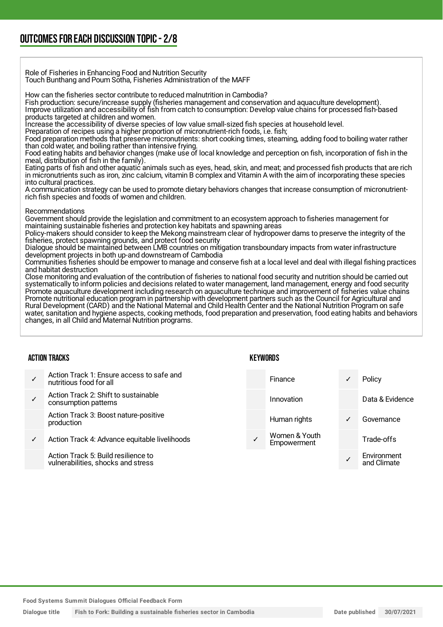Role of Fisheries in Enhancing Food and Nutrition Security Touch Bunthang and Poum Sotha, Fisheries Administration of the MAFF

How can the fisheries sector contribute to reduced malnutrition in Cambodia?

Fish production: secure/increase supply (fisheries management and conservation and aquaculture development).

Improve utilization and accessibility of fish from catch to consumption: Develop value chains for processed fish-based products targeted at children and women.

Increase the accessibility of diverse species of low value small-sized fish species at household level.

Preparation of recipes using a higher proportion of micronutrient-rich foods, i.e. fish;

Food preparation methods that preserve micronutrients: short cooking times, steaming, adding food to boiling water rather than cold water, and boiling rather than intensive frying.

Food eating habits and behavior changes (make use of local knowledge and perception on fish, incorporation of fish in the meal, distribution of fish in the family).

Eating parts of fish and other aquatic animals such as eyes, head, skin, and meat; and processed fish products that are rich in micronutrients such as iron, zinc calcium, vitamin B complex and Vitamin A with the aim of incorporating these species into cultural practices.

A communication strategy can be used to promote dietary behaviors changes that increase consumption of micronutrientrich fish species and foods of women and children.

#### Recommendations

Government should provide the legislation and commitment to an ecosystem approach to fisheries management for maintaining sustainable fisheries and protection key habitats and spawning areas

Policy-makers should consider to keep the Mekong mainstream clear of hydropower dams to preserve the integrity of the fisheries, protect spawning grounds, and protect food security

Dialogue should be maintained between LMB countries on mitigation transboundary impacts from water infrastructure development projects in both up-and downstream of Cambodia

Communities fisheries should be empower to manage and conserve fish at a local level and deal with illegal fishing practices and habitat destruction

Close monitoring and evaluation of the contribution of fisheries to national food security and nutrition should be carried out systematically to inform policies and decisions related to water management, land management, energy and food security Promote aquaculture development including research on aquaculture technique and improvement of fisheries value chains Promote nutritional education program in partnership with development partners such as the Council for Agricultural and Rural Development (CARD) and the National Maternal and Child Health Center and the National Nutrition Program on safe water, sanitation and hygiene aspects, cooking methods, food preparation and preservation, food eating habits and behaviors changes, in all Child and Maternal Nutrition programs.

#### ACTION TRACKS

- ✓ Action Track 1: Ensure access to safe and nutritious food for all
- ✓ Action Track 2: Shift to sustainable consumption patterns
- Action Track 3: Boost nature-positive production
- ✓ Action Track 4: Advance equitable livelihoods

Action Track 5: Build resilience to vulnerabilities, shocks and stress

| Finance                      | Policy                     |
|------------------------------|----------------------------|
| Innovation                   | Data & Evidence            |
| Human rights                 | Governance                 |
| Women & Youth<br>Empowerment | Trade-offs                 |
|                              | Environment<br>and Climate |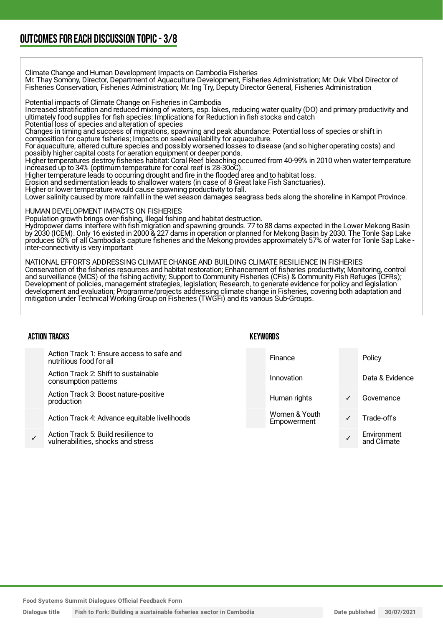### OUTCOMESFOR EACH DISCUSSION TOPIC- 3/8

Climate Change and Human Development Impacts on Cambodia Fisheries Mr. Thay Somony, Director, Department of Aquaculture Development, Fisheries Administration; Mr. Ouk Vibol Director of Fisheries Conservation, Fisheries Administration; Mr. Ing Try, Deputy Director General, Fisheries Administration

Potential impacts of Climate Change on Fisheries in Cambodia

Increased stratification and reduced mixing of waters, esp. lakes, reducing water quality (DO) and primary productivity and ultimately food supplies for fish species: Implications for Reduction in fish stocks and catch

Potential loss of species and alteration of species

Changes in timing and success of migrations, spawning and peak abundance: Potential loss of species or shift in composition for capture fisheries; Impacts on seed availability for aquaculture.

For aquaculture, altered culture species and possibly worsened losses to disease (and so higher operating costs) and possibly higher capital costs for aeration equipment or deeper ponds.

Higher temperatures destroy fisheries habitat: Coral Reef bleaching occurred from 40-99% in 2010 when water temperature increased up to 34% (optimum temperature for coral reef is 28-30oC).

Higher temperature leads to occurring drought and fire in the flooded area and to habitat loss.

Erosion and sedimentation leads to shallower waters (in case of 8 Great lake Fish Sanctuaries).

Higher or lower temperature would cause spawning productivity to fall.

Lower salinity caused by more rainfall in the wet season damages seagrass beds along the shoreline in Kampot Province.

#### HUMAN DEVELOPMENT IMPACTS ON FISHERIES

Population growth brings over-fishing, illegal fishing and habitat destruction.

Hydropower dams interfere with fish migration and spawning grounds. 77 to 88 dams expected in the Lower Mekong Basin by 2030 (ICEM). Only 16 existed in 2000 & 227 dams in operation or planned for Mekong Basin by 2030. The Tonle Sap Lake produces 60% of all Cambodia's capture fisheries and the Mekong provides approximately 57% of water for Tonle Sap Lake inter-connectivity is very important

NATIONAL EFFORTS ADDRESSING CLIMATE CHANGE AND BUILDING CLIMATE RESILIENCE IN FISHERIES Conservation of the fisheries resources and habitat restoration; Enhancement of fisheries productivity; Monitoring, control and surveillance (MCS) of the fishing activity; Support to Community Fisheries (CFis) & Community Fish Refuges (CFRs); Development of policies, management strategies, legislation; Research, to generate evidence for policy and legislation development and evaluation; Programme/projects addressing climate change in Fisheries, covering both adaptation and mitigation under Technical Working Group on Fisheries (TWGFi) and its various Sub-Groups.

#### ACTION TRACKS

✓

| Action Track 1: Ensure access to safe and<br>nutritious food for all      | Finance                      |   | Policy                     |
|---------------------------------------------------------------------------|------------------------------|---|----------------------------|
| Action Track 2: Shift to sustainable<br>consumption patterns              | Innovation                   |   | Data & Evidence            |
| Action Track 3: Boost nature-positive<br>production                       | Human rights                 | ✓ | Governance                 |
| Action Track 4: Advance equitable livelihoods                             | Women & Youth<br>Empowerment | ✓ | Trade-offs                 |
| Action Track 5: Build resilience to<br>vulnerabilities, shocks and stress |                              |   | Environment<br>and Climate |

**KEYWORDS** 

**Food Systems Summit Dialogues Official Feedback Form**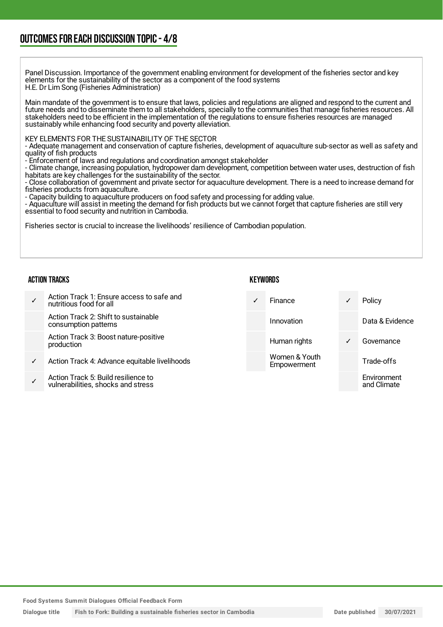### OUTCOMESFOR EACH DISCUSSION TOPIC- 4/8

Panel Discussion. Importance of the government enabling environment for development of the fisheries sector and key elements for the sustainability of the sector as a component of the food systems H.E. Dr Lim Song (Fisheries Administration)

Main mandate of the government is to ensure that laws, policies and regulations are aligned and respond to the current and future needs and to disseminate them to all stakeholders, specially to the communities that manage fisheries resources. All stakeholders need to be efficient in the implementation of the regulations to ensure fisheries resources are managed sustainably while enhancing food security and poverty alleviation.

#### KEY ELEMENTS FOR THE SUSTAINABILITY OF THE SECTOR

- Adequate management and conservation of capture fisheries, development of aquaculture sub-sector as well as safety and quality of fish products

- Enforcement of laws and regulations and coordination amongst stakeholder

- Climate change, increasing population, hydropower dam development, competition between water uses, destruction of fish habitats are key challenges for the sustainability of the sector.

- Close collaboration of government and private sector for aquaculture development. There is a need to increase demand for fisheries products from aquaculture.

- Capacity building to aquaculture producers on food safety and processing for adding value.

- Aquaculture will assist in meeting the demand for fish products but we cannot forget that capture fisheries are still very essential to food security and nutrition in Cambodia.

Fisheries sector is crucial to increase the livelihoods' resilience of Cambodian population.

#### ACTION TRACKS

|   | Action Track 1: Ensure access to safe and<br>nutritious food for all      | Finance                      | $\checkmark$ | Policy                     |
|---|---------------------------------------------------------------------------|------------------------------|--------------|----------------------------|
|   | Action Track 2: Shift to sustainable<br>consumption patterns              | Innovation                   |              | Data & Evidence            |
|   | Action Track 3: Boost nature-positive<br>production                       | Human rights                 | $\checkmark$ | Governance                 |
| ✓ | Action Track 4: Advance equitable livelihoods                             | Women & Youth<br>Empowerment |              | Trade-offs                 |
|   | Action Track 5: Build resilience to<br>vulnerabilities, shocks and stress |                              |              | Environment<br>and Climate |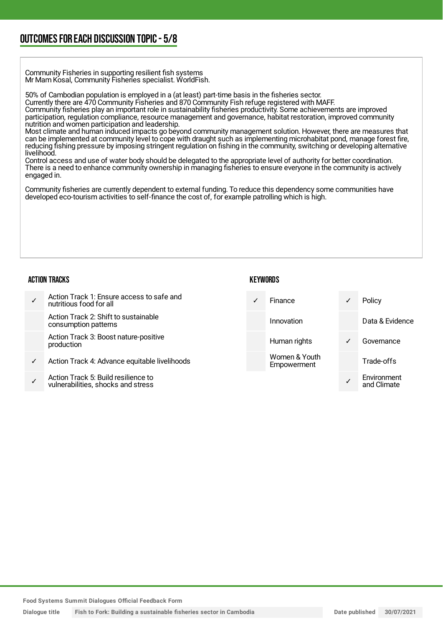### OUTCOMESFOR EACH DISCUSSION TOPIC- 5/8

Community Fisheries in supporting resilient fish systems Mr Mam Kosal, Community Fisheries specialist. WorldFish.

50% of Cambodian population is employed in a (at least) part-time basis in the fisheries sector.

Currently there are 470 Community Fisheries and 870 Community Fish refuge registered with MAFF.

Community fisheries play an important role in sustainability fisheries productivity. Some achievements are improved participation, regulation compliance, resource management and governance, habitat restoration, improved community nutrition and women participation and leadership.

Most climate and human induced impacts go beyond community management solution. However, there are measures that can be implemented at community level to cope with draught such as implementing microhabitat pond, manage forest fire, reducing fishing pressure by imposing stringent regulation on fishing in the community, switching or developing alternative livelihood.

Control access and use of water body should be delegated to the appropriate level of authority for better coordination. There is a need to enhance community ownership in managing fisheries to ensure everyone in the community is actively engaged in.

Community fisheries are currently dependent to external funding. To reduce this dependency some communities have developed eco-tourism activities to self-finance the cost of, for example patrolling which is high.

#### ACTION TRACKS

#### **KEYWORDS**

|   | Action Track 1: Ensure access to safe and<br>nutritious food for all     | <b>Finance</b>               | $\checkmark$ | Policy                     |
|---|--------------------------------------------------------------------------|------------------------------|--------------|----------------------------|
|   | Action Track 2: Shift to sustainable<br>consumption patterns             | Innovation                   |              | Data & Evidence            |
|   | Action Track 3: Boost nature-positive<br>production                      | Human rights                 | $\checkmark$ | Governance                 |
| ✓ | Action Track 4: Advance equitable livelihoods                            | Women & Youth<br>Empowerment |              | Trade-offs                 |
|   | Action Track 5: Build resilience to<br>vulnerabilities shocks and stress |                              |              | Environment<br>and Climate |

**Food Systems Summit Dialogues Official Feedback Form**

vulnerabilities, shocks and stress

**Dialogue title Fish to Fork: Building a sustainable fisheries sector in Cambodia Date published 30/07/2021**

and Climate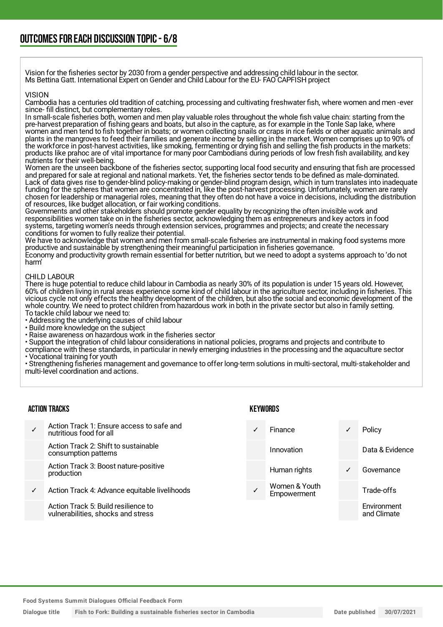Vision for the fisheries sector by 2030 from a gender perspective and addressing child labour in the sector. Ms Bettina Gatt. International Expert on Gender and Child Labour for the EU- FAO CAPFISH project

#### VISION

Cambodia has a centuries old tradition of catching, processing and cultivating freshwater fish, where women and men -ever since- fill distinct, but complementary roles.

In small-scale fisheries both, women and men play valuable roles throughout the whole fish value chain: starting from the pre-harvest preparation of fishing gears and boats, but also in the capture, as for example in the Tonle Sap lake, where women and men tend to fish together in boats; or women collecting snails or craps in rice fields or other aquatic animals and plants in the mangroves to feed their families and generate income by selling in the market. Women comprises up to 90% of the workforce in post-harvest activities, like smoking, fermenting or drying fish and selling the fish products in the markets: products like prahoc are of vital importance for many poor Cambodians during periods of low fresh fish availability, and key nutrients for their well-being.

Women are the unseen backbone of the fisheries sector, supporting local food security and ensuring that fish are processed and prepared for sale at regional and national markets. Yet, the fisheries sector tends to be defined as male-dominated. Lack of data gives rise to gender-blind policy-making or gender-blind program design, which in turn translates into inadequate funding for the spheres that women are concentrated in, like the post-harvest processing. Unfortunately, women are rarely chosen for leadership or managerial roles, meaning that they often do not have a voice in decisions, including the distribution of resources, like budget allocation, or fair working conditions.

Governments and other stakeholders should promote gender equality by recognizing the often invisible work and responsibilities women take on in the fisheries sector, acknowledging them as entrepreneurs and key actors in food systems, targeting women's needs through extension services, programmes and projects; and create the necessary conditions for women to fully realize their potential.

We have to acknowledge that women and men from small-scale fisheries are instrumental in making food systems more productive and sustainable by strengthening their meaningful participation in fisheries governance. Economy and productivity growth remain essential for better nutrition, but we need to adopt a systems approach to 'do not harm'

#### CHILD LABOUR

There is huge potential to reduce child labour in Cambodia as nearly 30% of its population is under 15 years old. However, 60% of children living in rural areas experience some kind of child labour in the agriculture sector, including in fisheries. This vicious cycle not only effects the healthy development of the children, but also the social and economic development of the whole country. We need to protect children from hazardous work in both in the private sector but also in family setting. To tackle child labour we need to:

• Addressing the underlying causes of child labour

• Build more knowledge on the subject

• Raise awareness on hazardous work in the fisheries sector

• Support the integration of child labour considerations in national policies, programs and projects and contribute to

compliance with these standards, in particular in newly emerging industries in the processing and the aquaculture sector • Vocational training for youth

• Strengthening fisheries management and governance to offer long-term solutions in multi-sectoral, multi-stakeholder and multi-level coordination and actions.

#### ACTION TRACKS

- ✓ Action Track 1: Ensure access to safe and nutritious food for all Action Track 2: Shift to sustainable consumption patterns Action Track 3: Boost nature-positive production
- ✓ Action Track 4: Advance equitable livelihoods

Action Track 5: Build resilience to vulnerabilities, shocks and stress

#### **KEYWORDS**



**Food Systems Summit Dialogues Official Feedback Form**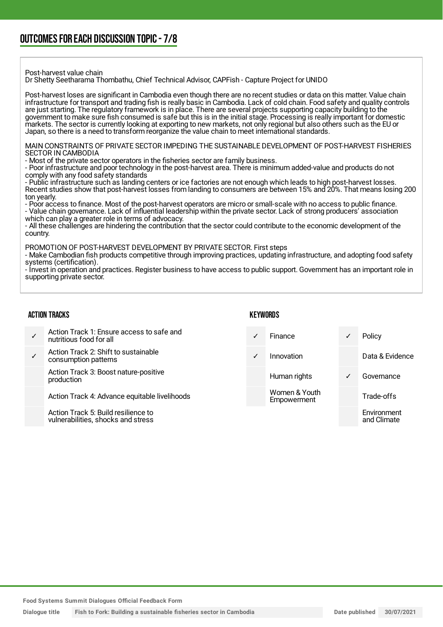#### Post-harvest value chain

Dr Shetty Seetharama Thombathu, Chief Technical Advisor, CAPFish - Capture Project for UNIDO

Post-harvest loses are significant in Cambodia even though there are no recent studies or data on this matter. Value chain infrastructure for transport and trading fish is really basic in Cambodia. Lack of cold chain. Food safety and quality controls are just starting. The regulatory framework is in place. There are several projects supporting capacity building to the government to make sure fish consumed is safe but this is in the initial stage. Processing is really important for domestic markets. The sector is currently looking at exporting to new markets, not only regional but also others such as the EU or Japan, so there is a need to transform reorganize the value chain to meet international standards.

MAIN CONSTRAINTS OF PRIVATE SECTOR IMPEDING THE SUSTAINABLE DEVELOPMENT OF POST-HARVEST FISHERIES SECTOR IN CAMBODIA

- Most of the private sector operators in the fisheries sector are family business.

- Poor infrastructure and poor technology in the post-harvest area. There is minimum added-value and products do not comply with any food safety standards

- Public infrastructure such as landing centers or ice factories are not enough which leads to high post-harvest losses. Recent studies show that post-harvest losses from landing to consumers are between 15% and 20%. That means losing 200 ton yearly.

- Poor access to finance. Most of the post-harvest operators are micro or small-scale with no access to public finance. - Value chain governance. Lack of influential leadership within the private sector. Lack of strong producers' association which can play a greater role in terms of advocacy.

- All these challenges are hindering the contribution that the sector could contribute to the economic development of the country.

PROMOTION OF POST-HARVEST DEVELOPMENT BY PRIVATE SECTOR. First steps

- Make Cambodian fish products competitive through improving practices, updating infrastructure, and adopting food safety systems (certification).

- Invest in operation and practices. Register business to have access to public support. Government has an important role in supporting private sector.

#### ACTION TRACKS

#### **KEYWORDS**

| Action Track 1: Ensure access to safe and                                 |            | <b>Finance</b>               |   | Policy                     |
|---------------------------------------------------------------------------|------------|------------------------------|---|----------------------------|
| nutritious food for all                                                   |            |                              |   |                            |
| Action Track 2: Shift to sustainable<br>consumption patterns              | $\sqrt{ }$ | Innovation                   |   | Data & Evidence            |
| Action Track 3: Boost nature-positive<br>production                       |            | Human rights                 | ✓ | Governance                 |
| Action Track 4: Advance equitable livelihoods                             |            | Women & Youth<br>Empowerment |   | Trade-offs                 |
| Action Track 5: Build resilience to<br>vulnerabilities, shocks and stress |            |                              |   | Environment<br>and Climate |

**Food Systems Summit Dialogues Official Feedback Form**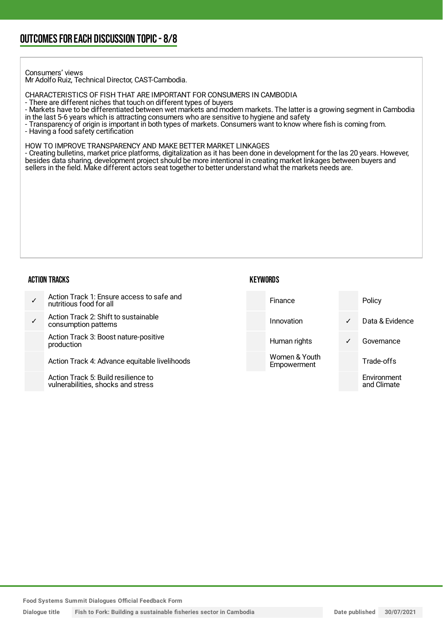Consumers' views

Mr Adolfo Ruiz, Technical Director, CAST-Cambodia.

CHARACTERISTICS OF FISH THAT ARE IMPORTANT FOR CONSUMERS IN CAMBODIA

- There are different niches that touch on different types of buyers

- Markets have to be differentiated between wet markets and modern markets. The latter is a growing segment in Cambodia

in the last 5-6 years which is attracting consumers who are sensitive to hygiene and safety

- Transparency of origin is important in both types of markets. Consumers want to know where fish is coming from. - Having a food safety certification

HOW TO IMPROVE TRANSPARENCY AND MAKE BETTER MARKET LINKAGES

- Creating bulletins, market price platforms, digitalization as it has been done in development for the las 20 years. However, besides data sharing, development project should be more intentional in creating market linkages between buyers and sellers in the field. Make different actors seat together to better understand what the markets needs are.

#### ACTION TRACKS

#### **KEYWORDS**

✓ Action Track 1: Ensure access to safe and nutritious food for all ✓ Action Track 2: Shift to sustainable consumption patterns Action Track 3: Boost nature-positive production Action Track 4: Advance equitable livelihoods Finance Policy Innovation ✓ Data & Evidence Human rights **v** Governance Women & Youth **Empowerment** Trade-offs Environment

Action Track 5: Build resilience to vulnerabilities, shocks and stress

**Food Systems Summit Dialogues Official Feedback Form**

**Dialogue title Fish to Fork: Building a sustainable fisheries sector in Cambodia Date published 30/07/2021**

and Climate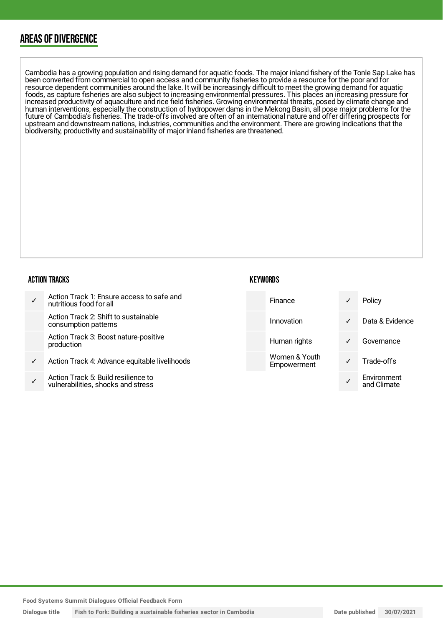### AREAS OF DIVERGENCE

Cambodia has a growing population and rising demand for aquatic foods. The major inland fishery of the Tonle Sap Lake has been converted from commercial to open access and community fisheries to provide a resource for the poor and for resource dependent communities around the lake. It will be increasingly difficult to meet the growing demand for aquatic foods, as capture fisheries are also subject to increasing environmental pressures. This places an increasing pressure for increased productivity of aquaculture and rice field fisheries. Growing environmental threats, posed by climate change and human interventions, especially the construction of hydropower dams in the Mekong Basin, all pose major problems for the future of Cambodia's fisheries. The trade-offs involved are often of an international nature and offer differing prospects for upstream and downstream nations, industries, communities and the environment. There are growing indications that the biodiversity, productivity and sustainability of major inland fisheries are threatened.

#### ACTION TRACKS

|   | Action Track 1: Ensure access to safe and<br>nutritious food for all      | <b>Finance</b>               | ✓            | Policy                     |
|---|---------------------------------------------------------------------------|------------------------------|--------------|----------------------------|
|   | Action Track 2: Shift to sustainable<br>consumption patterns              | Innovation                   | $\checkmark$ | Data & Evidence            |
|   | Action Track 3: Boost nature-positive<br>production                       | Human rights                 | ✓            | Governance                 |
| ✓ | Action Track 4: Advance equitable livelihoods                             | Women & Youth<br>Empowerment |              | Trade-offs                 |
| ✓ | Action Track 5: Build resilience to<br>vulnerabilities, shocks and stress |                              |              | Environment<br>and Climate |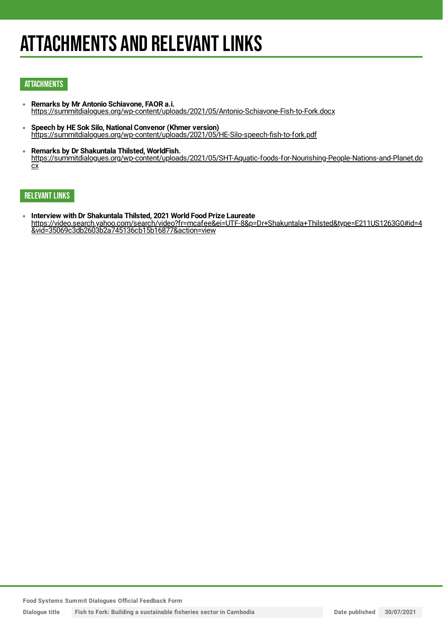## **ATTACHMENTS AND RELEVANT LINKS**

#### **ATTACHMENTS**

- **Remarks by Mr Antonio Schiavone, FAOR a.i.**  $\bullet$ <https://summitdialogues.org/wp-content/uploads/2021/05/Antonio-Schiavone-Fish-to-Fork.docx>
- **Speech by HE Sok Silo, National Convenor (Khmer version)** <https://summitdialogues.org/wp-content/uploads/2021/05/HE-Silo-speech-fish-to-fork.pdf>
- **Remarks by Dr Shakuntala Thilsted, WorldFish.**  $\bullet$ [https://summitdialogues.org/wp-content/uploads/2021/05/SHT-Aquatic-foods-for-Nourishing-People-Nations-and-Planet.do](https://summitdialogues.org/wp-content/uploads/2021/05/SHT-Aquatic-foods-for-Nourishing-People-Nations-and-Planet.docx) cx

#### RELEVANT LINKS

**Interview with Dr Shakuntala Thilsted, 2021 World Food Prize Laureate**  $\bullet$ [https://video.search.yahoo.com/search/video?fr=mcafee&ei=UTF-8&p=Dr+Shakuntala+Thilsted&type=E211US1263G0#id=4](https://video.search.yahoo.com/search/video?fr=mcafee&ei=UTF-8&p=Dr+Shakuntala+Thilsted&type=E211US1263G0#id=4&vid=35069c3db2603b2a745136cb15b16877&action=view) &vid=35069c3db2603b2a745136cb15b16877&action=view